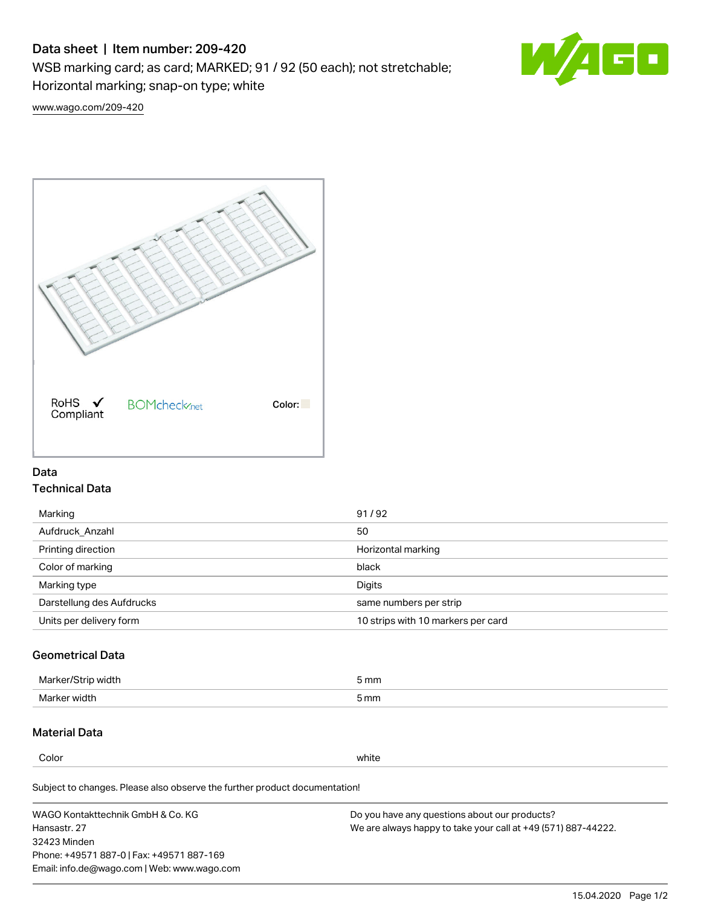# Data sheet | Item number: 209-420

WSB marking card; as card; MARKED; 91 / 92 (50 each); not stretchable;

Horizontal marking; snap-on type; white



[www.wago.com/209-420](http://www.wago.com/209-420)



## Data Technical Data

| 91/92                              |
|------------------------------------|
| 50                                 |
| Horizontal marking                 |
| black                              |
| Digits                             |
| same numbers per strip             |
| 10 strips with 10 markers per card |
|                                    |

## Geometrical Data

| <b>Marker</b><br>width | 5 mm |
|------------------------|------|
| Marker width           | 5 mm |

## Material Data

Color white

Subject to changes. Please also observe the further product documentation!

WAGO Kontakttechnik GmbH & Co. KG Hansastr. 27 32423 Minden Phone: +49571 887-0 | Fax: +49571 887-169 Email: info.de@wago.com | Web: www.wago.com Do you have any questions about our products? We are always happy to take your call at +49 (571) 887-44222.